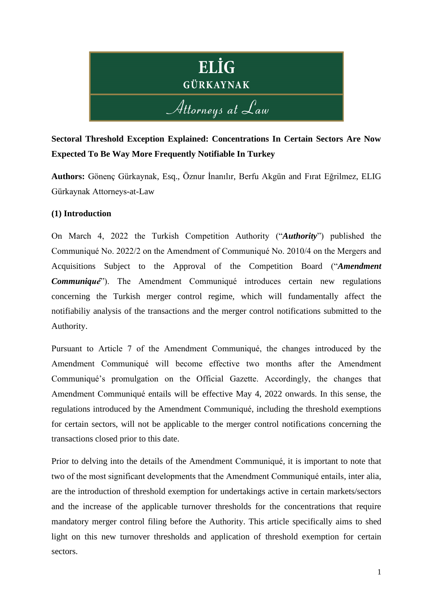

# **Sectoral Threshold Exception Explained: Concentrations In Certain Sectors Are Now Expected To Be Way More Frequently Notifiable In Turkey**

**Authors:** Gönenç Gürkaynak, Esq., Öznur İnanılır, Berfu Akgün and Fırat Eğrilmez, ELIG Gürkaynak Attorneys-at-Law

## **(1) Introduction**

On March 4, 2022 the Turkish Competition Authority ("*Authority*") published the Communiqué No. 2022/2 on the Amendment of Communiqué No. 2010/4 on the Mergers and Acquisitions Subject to the Approval of the Competition Board ("*Amendment Communiqué*"). The Amendment Communiqué introduces certain new regulations concerning the Turkish merger control regime, which will fundamentally affect the notifiabiliy analysis of the transactions and the merger control notifications submitted to the Authority.

Pursuant to Article 7 of the Amendment Communiqué, the changes introduced by the Amendment Communiqué will become effective two months after the Amendment Communiqué's promulgation on the Official Gazette. Accordingly, the changes that Amendment Communiqué entails will be effective May 4, 2022 onwards. In this sense, the regulations introduced by the Amendment Communiqué, including the threshold exemptions for certain sectors, will not be applicable to the merger control notifications concerning the transactions closed prior to this date.

Prior to delving into the details of the Amendment Communiqué, it is important to note that two of the most significant developments that the Amendment Communiqué entails, inter alia, are the introduction of threshold exemption for undertakings active in certain markets/sectors and the increase of the applicable turnover thresholds for the concentrations that require mandatory merger control filing before the Authority. This article specifically aims to shed light on this new turnover thresholds and application of threshold exemption for certain sectors.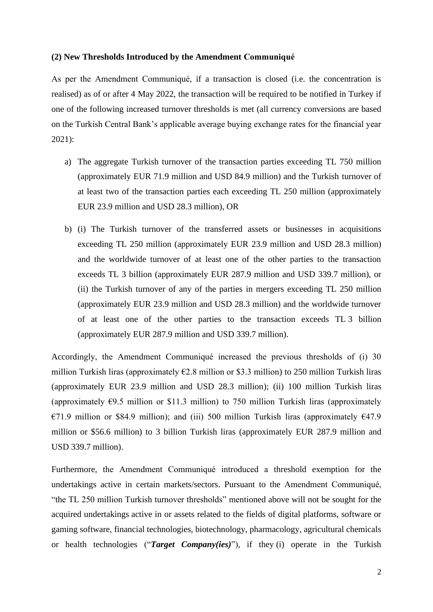#### **(2) New Thresholds Introduced by the Amendment Communiqué**

As per the Amendment Communiqué, if a transaction is closed (i.e. the concentration is realised) as of or after 4 May 2022, the transaction will be required to be notified in Turkey if one of the following increased turnover thresholds is met (all currency conversions are based on the Turkish Central Bank's applicable average buying exchange rates for the financial year 2021):

- a) The aggregate Turkish turnover of the transaction parties exceeding TL 750 million (approximately EUR 71.9 million and USD 84.9 million) and the Turkish turnover of at least two of the transaction parties each exceeding TL 250 million (approximately EUR 23.9 million and USD 28.3 million), OR
- b) (i) The Turkish turnover of the transferred assets or businesses in acquisitions exceeding TL 250 million (approximately EUR 23.9 million and USD 28.3 million) and the worldwide turnover of at least one of the other parties to the transaction exceeds TL 3 billion (approximately EUR 287.9 million and USD 339.7 million), or (ii) the Turkish turnover of any of the parties in mergers exceeding TL 250 million (approximately EUR 23.9 million and USD 28.3 million) and the worldwide turnover of at least one of the other parties to the transaction exceeds TL 3 billion (approximately EUR 287.9 million and USD 339.7 million).

Accordingly, the Amendment Communiqué increased the previous thresholds of (i) 30 million Turkish liras (approximately  $\epsilon$ 2.8 million or \$3.3 million) to 250 million Turkish liras (approximately EUR 23.9 million and USD 28.3 million); (ii) 100 million Turkish liras (approximately  $\epsilon$ 9.5 million or \$11.3 million) to 750 million Turkish liras (approximately €71.9 million or \$84.9 million); and (iii) 500 million Turkish liras (approximately €47.9 million or \$56.6 million) to 3 billion Turkish liras (approximately EUR 287.9 million and USD 339.7 million).

Furthermore, the Amendment Communiqué introduced a threshold exemption for the undertakings active in certain markets/sectors. Pursuant to the Amendment Communiqué, "the TL 250 million Turkish turnover thresholds" mentioned above will not be sought for the acquired undertakings active in or assets related to the fields of digital platforms, software or gaming software, financial technologies, biotechnology, pharmacology, agricultural chemicals or health technologies ("*Target Company(ies)*"), if they (i) operate in the Turkish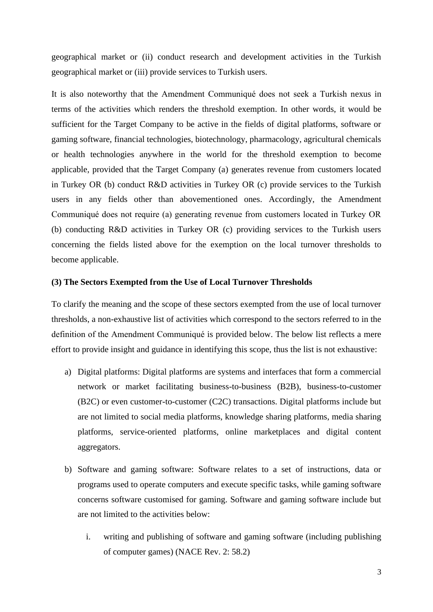geographical market or (ii) conduct research and development activities in the Turkish geographical market or (iii) provide services to Turkish users.

It is also noteworthy that the Amendment Communiqué does not seek a Turkish nexus in terms of the activities which renders the threshold exemption. In other words, it would be sufficient for the Target Company to be active in the fields of digital platforms, software or gaming software, financial technologies, biotechnology, pharmacology, agricultural chemicals or health technologies anywhere in the world for the threshold exemption to become applicable, provided that the Target Company (a) generates revenue from customers located in Turkey OR (b) conduct R&D activities in Turkey OR (c) provide services to the Turkish users in any fields other than abovementioned ones. Accordingly, the Amendment Communiqué does not require (a) generating revenue from customers located in Turkey OR (b) conducting R&D activities in Turkey OR (c) providing services to the Turkish users concerning the fields listed above for the exemption on the local turnover thresholds to become applicable.

### **(3) The Sectors Exempted from the Use of Local Turnover Thresholds**

To clarify the meaning and the scope of these sectors exempted from the use of local turnover thresholds, a non-exhaustive list of activities which correspond to the sectors referred to in the definition of the Amendment Communiqué is provided below. The below list reflects a mere effort to provide insight and guidance in identifying this scope, thus the list is not exhaustive:

- a) Digital platforms: Digital platforms are systems and interfaces that form a commercial network or market facilitating business-to-business (B2B), business-to-customer (B2C) or even customer-to-customer (C2C) transactions. Digital platforms include but are not limited to social media platforms, knowledge sharing platforms, media sharing platforms, service-oriented platforms, online marketplaces and digital content aggregators.
- b) Software and gaming software: Software relates to a set of instructions, data or programs used to operate computers and execute specific tasks, while gaming software concerns software customised for gaming. Software and gaming software include but are not limited to the activities below:
	- i. writing and publishing of software and gaming software (including publishing of computer games) (NACE Rev. 2: 58.2)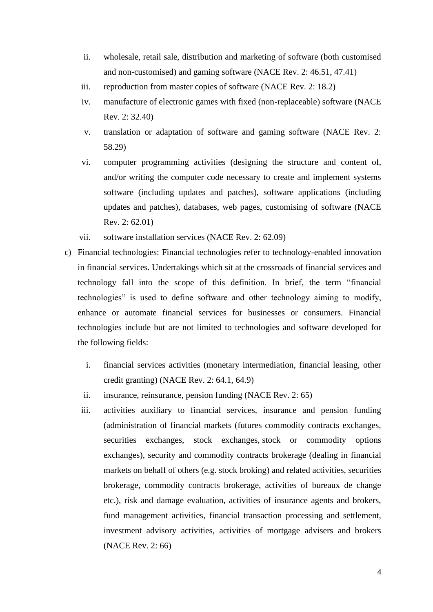- ii. wholesale, retail sale, distribution and marketing of software (both customised and non-customised) and gaming software (NACE Rev. 2: 46.51, 47.41)
- iii. reproduction from master copies of software (NACE Rev. 2: 18.2)
- iv. manufacture of electronic games with fixed (non-replaceable) software (NACE Rev. 2: 32.40)
- v. translation or adaptation of software and gaming software (NACE Rev. 2: 58.29)
- vi. computer programming activities (designing the structure and content of, and/or writing the computer code necessary to create and implement systems software (including updates and patches), software applications (including updates and patches), databases, web pages, customising of software (NACE Rev. 2: 62.01)
- vii. software installation services (NACE Rev. 2: 62.09)
- c) Financial technologies: Financial technologies refer to technology-enabled innovation in financial services. Undertakings which sit at the crossroads of financial services and technology fall into the scope of this definition. In brief, the term "financial technologies" is used to define software and other technology aiming to modify, enhance or automate financial services for businesses or consumers. Financial technologies include but are not limited to technologies and software developed for the following fields:
	- i. financial services activities (monetary intermediation, financial leasing, other credit granting) (NACE Rev. 2: 64.1, 64.9)
	- ii. insurance, reinsurance, pension funding (NACE Rev. 2: 65)
	- iii. activities auxiliary to financial services, insurance and pension funding (administration of financial markets (futures commodity contracts exchanges, securities exchanges, stock exchanges, stock or commodity options exchanges), security and commodity contracts brokerage (dealing in financial markets on behalf of others (e.g. stock broking) and related activities, securities brokerage, commodity contracts brokerage, activities of bureaux de change etc.), risk and damage evaluation, activities of insurance agents and brokers, fund management activities, financial transaction processing and settlement, investment advisory activities, activities of mortgage advisers and brokers (NACE Rev. 2: 66)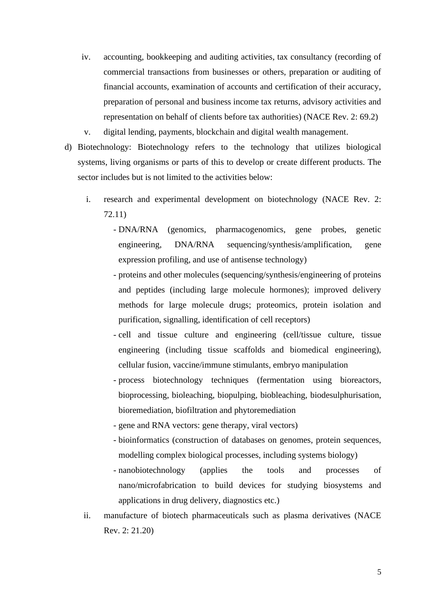- iv. accounting, bookkeeping and auditing activities, tax consultancy (recording of commercial transactions from businesses or others, preparation or auditing of financial accounts, examination of accounts and certification of their accuracy, preparation of personal and business income tax returns, advisory activities and representation on behalf of clients before tax authorities) (NACE Rev. 2: 69.2)
- v. digital lending, payments, blockchain and digital wealth management.
- d) Biotechnology: Biotechnology refers to the technology that utilizes biological systems, living organisms or parts of this to develop or create different products. The sector includes but is not limited to the activities below:
	- i. research and experimental development on biotechnology (NACE Rev. 2: 72.11)
		- DNA/RNA (genomics, pharmacogenomics, gene probes, genetic engineering, DNA/RNA sequencing/synthesis/amplification, gene expression profiling, and use of antisense technology)
		- proteins and other molecules (sequencing/synthesis/engineering of proteins and peptides (including large molecule hormones); improved delivery methods for large molecule drugs; proteomics, protein isolation and purification, signalling, identification of cell receptors)
		- cell and tissue culture and engineering (cell/tissue culture, tissue engineering (including tissue scaffolds and biomedical engineering), cellular fusion, vaccine/immune stimulants, embryo manipulation
		- process biotechnology techniques (fermentation using bioreactors, bioprocessing, bioleaching, biopulping, biobleaching, biodesulphurisation, bioremediation, biofiltration and phytoremediation
		- gene and RNA vectors: gene therapy, viral vectors)
		- bioinformatics (construction of databases on genomes, protein sequences, modelling complex biological processes, including systems biology)
		- nanobiotechnology (applies the tools and processes of nano/microfabrication to build devices for studying biosystems and applications in drug delivery, diagnostics etc.)
	- ii. manufacture of biotech pharmaceuticals such as plasma derivatives (NACE Rev. 2: 21.20)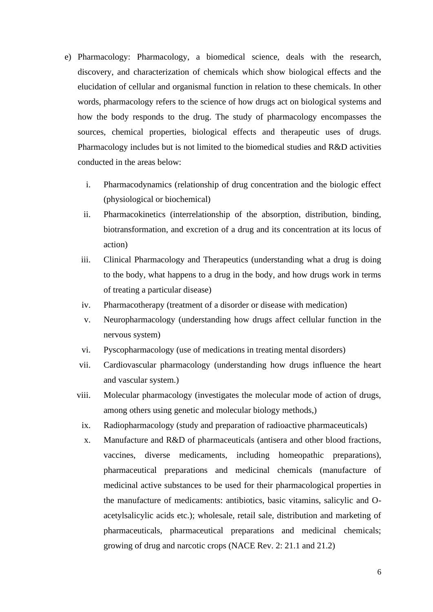- e) Pharmacology: Pharmacology, a biomedical science, deals with the research, discovery, and characterization of chemicals which show biological effects and the elucidation of cellular and organismal function in relation to these chemicals. In other words, pharmacology refers to the science of how drugs act on biological systems and how the body responds to the drug. The study of pharmacology encompasses the sources, chemical properties, biological effects and therapeutic uses of drugs. Pharmacology includes but is not limited to the biomedical studies and R&D activities conducted in the areas below:
	- i. Pharmacodynamics (relationship of drug concentration and the biologic effect (physiological or biochemical)
	- ii. Pharmacokinetics (interrelationship of the absorption, distribution, binding, biotransformation, and excretion of a drug and its concentration at its locus of action)
	- iii. Clinical Pharmacology and Therapeutics (understanding what a drug is doing to the body, what happens to a drug in the body, and how drugs work in terms of treating a particular disease)
	- iv. Pharmacotherapy (treatment of a disorder or disease with medication)
	- v. Neuropharmacology (understanding how drugs affect cellular function in the nervous system)
	- vi. Pyscopharmacology (use of medications in treating mental disorders)
	- vii. Cardiovascular pharmacology (understanding how drugs influence the heart and vascular system.)
	- viii. Molecular pharmacology (investigates the molecular mode of action of drugs, among others using genetic and molecular biology methods,)
		- ix. Radiopharmacology (study and preparation of radioactive [pharmaceuticals\)](https://www.bionity.com/en/encyclopedia/Pharmaceutical.html)
		- x. Manufacture and R&D of pharmaceuticals (antisera and other blood fractions, vaccines, diverse medicaments, including homeopathic preparations), pharmaceutical preparations and medicinal chemicals (manufacture of medicinal active substances to be used for their pharmacological properties in the manufacture of medicaments: antibiotics, basic vitamins, salicylic and Oacetylsalicylic acids etc.); wholesale, retail sale, distribution and marketing of pharmaceuticals, pharmaceutical preparations and medicinal chemicals; growing of drug and narcotic crops (NACE Rev. 2: 21.1 and 21.2)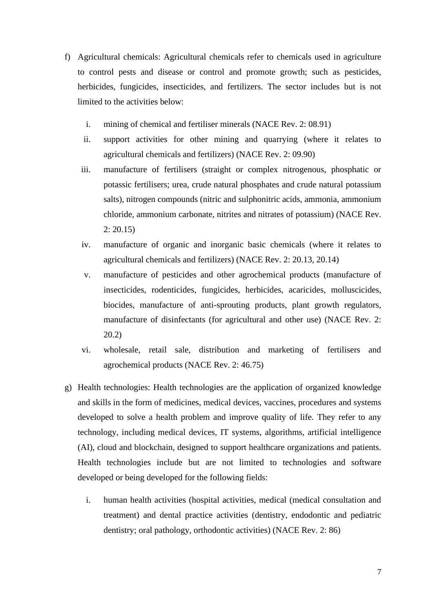- f) Agricultural chemicals: Agricultural chemicals refer to chemicals used in agriculture to control pests and disease or control and promote growth; such as pesticides, herbicides, fungicides, insecticides, and fertilizers. The sector includes but is not limited to the activities below:
	- i. mining of chemical and fertiliser minerals (NACE Rev. 2: 08.91)
	- ii. support activities for other mining and quarrying (where it relates to agricultural chemicals and fertilizers) (NACE Rev. 2: 09.90)
	- iii. manufacture of fertilisers (straight or complex nitrogenous, phosphatic or potassic fertilisers; urea, crude natural phosphates and crude natural potassium salts), nitrogen compounds (nitric and sulphonitric acids, ammonia, ammonium chloride, ammonium carbonate, nitrites and nitrates of potassium) (NACE Rev.  $2: 20.15$
	- iv. manufacture of organic and inorganic basic chemicals (where it relates to agricultural chemicals and fertilizers) (NACE Rev. 2: 20.13, 20.14)
	- v. manufacture of pesticides and other agrochemical products (manufacture of insecticides, rodenticides, fungicides, herbicides, acaricides, molluscicides, biocides, manufacture of anti-sprouting products, plant growth regulators, manufacture of disinfectants (for agricultural and other use) (NACE Rev. 2: 20.2)
	- vi. wholesale, retail sale, distribution and marketing of fertilisers and agrochemical products (NACE Rev. 2: 46.75)
- g) Health technologies: Health technologies are the application of organized knowledge and skills in the form of medicines, medical devices, vaccines, procedures and systems developed to solve a health problem and improve quality of life. They refer to any technology, including medical devices, IT systems, algorithms, artificial intelligence (AI), cloud and blockchain, designed to support healthcare organizations and patients. Health technologies include but are not limited to technologies and software developed or being developed for the following fields:
	- i. human health activities (hospital activities, medical (medical consultation and treatment) and dental practice activities (dentistry, endodontic and pediatric dentistry; oral pathology, orthodontic activities) (NACE Rev. 2: 86)